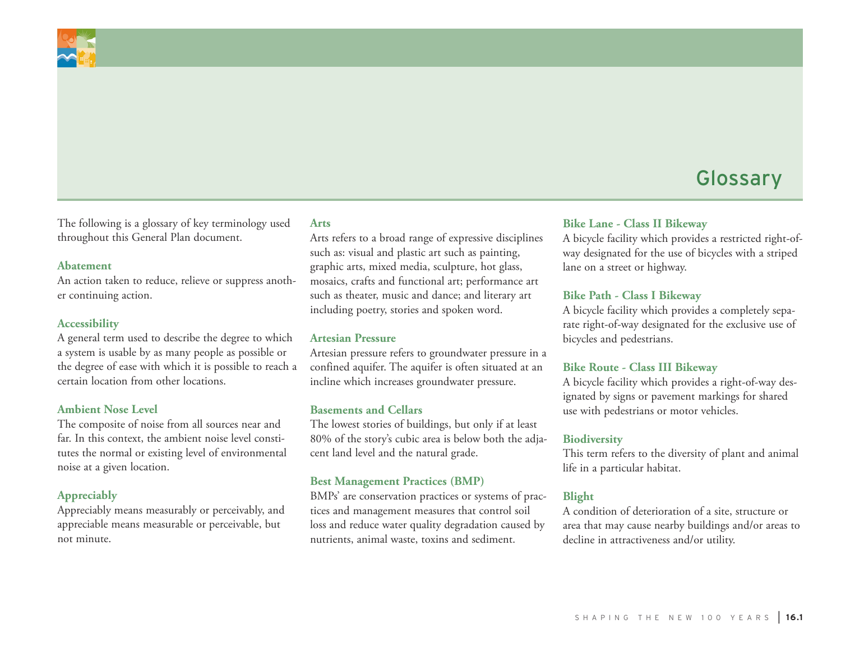

The following is a glossary of key terminology used throughout this General Plan document.

#### **Abatement**

An action taken to reduce, relieve or suppress another continuing action.

#### **Accessibility**

A general term used to describe the degree to which a system is usable by as many people as possible or the degree of ease with which it is possible to reach a certain location from other locations.

#### **Ambient Nose Level**

The composite of noise from all sources near and far. In this context, the ambient noise level constitutes the normal or existing level of environmental noise at a given location.

#### **Appreciably**

Appreciably means measurably or perceivably, and appreciable means measurable or perceivable, but not minute.

#### **Arts**

Arts refers to a broad range of expressive disciplines such as: visual and plastic art such as painting, graphic arts, mixed media, sculpture, hot glass, mosaics, crafts and functional art; performance art such as theater, music and dance; and literary art including poetry, stories and spoken word.

#### **Artesian Pressure**

Artesian pressure refers to groundwater pressure in a confined aquifer. The aquifer is often situated at an incline which increases groundwater pressure.

#### **Basements and Cellars**

The lowest stories of buildings, but only if at least 80% of the story's cubic area is below both the adjacent land level and the natural grade.

#### **Best Management Practices (BMP)**

BMPs' are conservation practices or systems of practices and management measures that control soil loss and reduce water quality degradation caused by nutrients, animal waste, toxins and sediment.

## **Bike Lane - Class II Bikeway**

A bicycle facility which provides a restricted right-ofway designated for the use of bicycles with a striped lane on a street or highway.

#### **Bike Path - Class I Bikeway**

A bicycle facility which provides a completely separate right-of-way designated for the exclusive use of bicycles and pedestrians.

#### **Bike Route - Class III Bikeway**

A bicycle facility which provides a right-of-way designated by signs or pavement markings for shared use with pedestrians or motor vehicles.

#### **Biodiversity**

This term refers to the diversity of plant and animal life in a particular habitat.

#### **Blight**

A condition of deterioration of a site, structure or area that may cause nearby buildings and/or areas to decline in attractiveness and/or utility.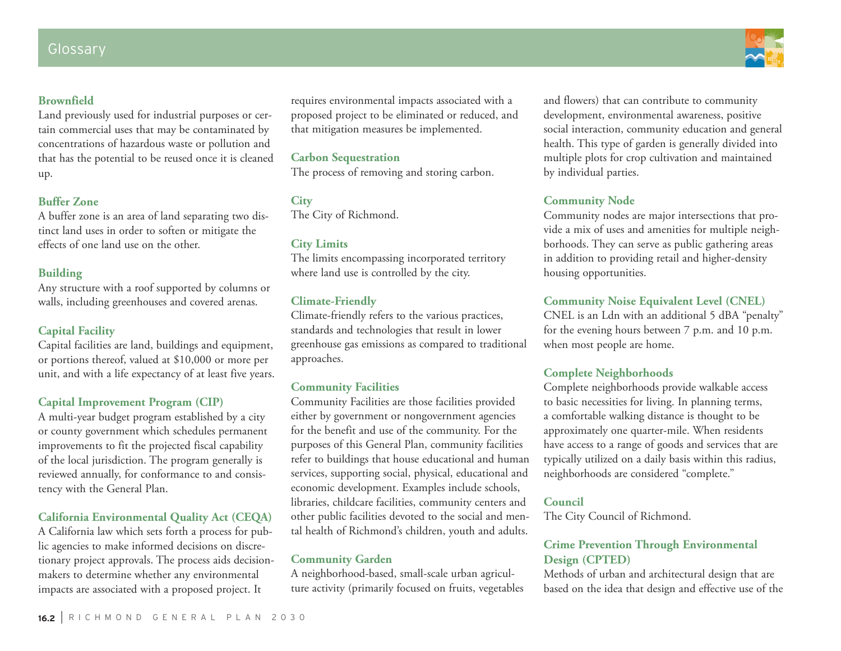## **Brownfield**

Land previously used for industrial purposes or certain commercial uses that may be contaminated by concentrations of hazardous waste or pollution and that has the potential to be reused once it is cleaned up.

## **Buffer Zone**

A buffer zone is an area of land separating two distinct land uses in order to soften or mitigate the effects of one land use on the other.

## **Building**

Any structure with a roof supported by columns or walls, including greenhouses and covered arenas.

## **Capital Facility**

Capital facilities are land, buildings and equipment, or portions thereof, valued at \$10,000 or more per unit, and with a life expectancy of at least five years.

## **Capital Improvement Program (CIP)**

A multi-year budget program established by a city or county government which schedules permanent improvements to fit the projected fiscal capability of the local jurisdiction. The program generally is reviewed annually, for conformance to and consistency with the General Plan.

## **California Environmental Quality Act (CEQA)**

A California law which sets forth a process for public agencies to make informed decisions on discretionary project approvals. The process aids decisionmakers to determine whether any environmental impacts are associated with a proposed project. It

requires environmental impacts associated with a proposed project to be eliminated or reduced, and that mitigation measures be implemented.

## **Carbon Sequestration**

The process of removing and storing carbon.

# **City**

The City of Richmond.

#### **City Limits**

The limits encompassing incorporated territory where land use is controlled by the city.

## **Climate-Friendly**

Climate-friendly refers to the various practices, standards and technologies that result in lower greenhouse gas emissions as compared to traditional approaches.

## **Community Facilities**

Community Facilities are those facilities provided either by government or nongovernment agencies for the benefit and use of the community. For the purposes of this General Plan, community facilities refer to buildings that house educational and human services, supporting social, physical, educational and economic development. Examples include schools, libraries, childcare facilities, community centers and other public facilities devoted to the social and mental health of Richmond's children, youth and adults.

#### **Community Garden**

A neighborhood-based, small-scale urban agriculture activity (primarily focused on fruits, vegetables and flowers) that can contribute to community development, environmental awareness, positive social interaction, community education and general health. This type of garden is generally divided into multiple plots for crop cultivation and maintained by individual parties.

## **Community Node**

Community nodes are major intersections that provide a mix of uses and amenities for multiple neighborhoods. They can serve as public gathering areas in addition to providing retail and higher-density housing opportunities.

## **Community Noise Equivalent Level (CNEL)**

CNEL is an Ldn with an additional 5 dBA "penalty" for the evening hours between 7 p.m. and 10 p.m. when most people are home.

## **Complete Neighborhoods**

Complete neighborhoods provide walkable access to basic necessities for living. In planning terms, a comfortable walking distance is thought to be approximately one quarter-mile. When residents have access to a range of goods and services that are typically utilized on a daily basis within this radius, neighborhoods are considered "complete."

#### **Council**

The City Council of Richmond.

## **Crime Prevention Through Environmental Design (CPTED)**

Methods of urban and architectural design that are based on the idea that design and effective use of the

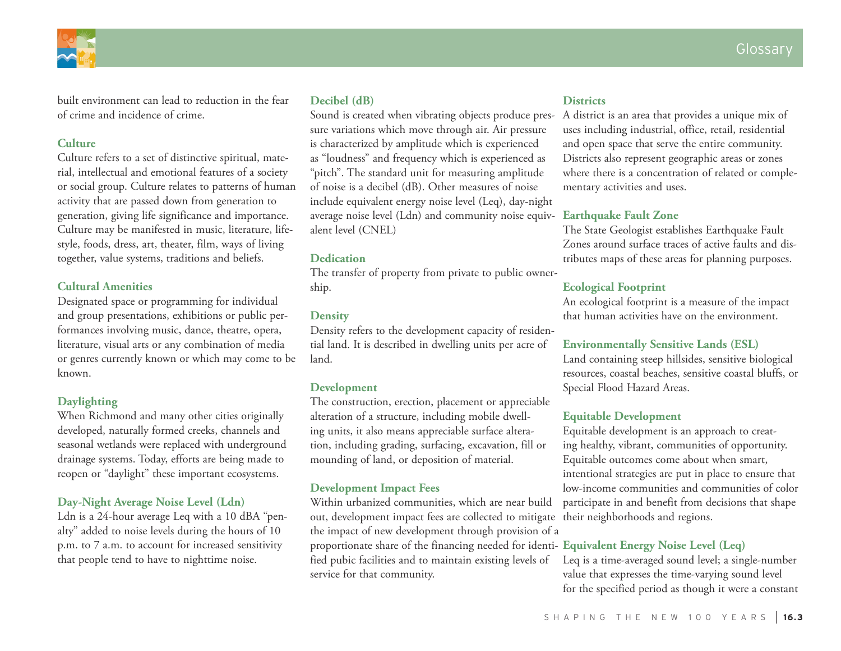

built environment can lead to reduction in the fear of crime and incidence of crime.

## **Culture**

Culture refers to a set of distinctive spiritual, material, intellectual and emotional features of a society or social group. Culture relates to patterns of human activity that are passed down from generation to generation, giving life significance and importance. Culture may be manifested in music, literature, lifestyle, foods, dress, art, theater, film, ways of living together, value systems, traditions and beliefs.

## **Cultural Amenities**

Designated space or programming for individual and group presentations, exhibitions or public performances involving music, dance, theatre, opera, literature, visual arts or any combination of media or genres currently known or which may come to be known.

## **Daylighting**

When Richmond and many other cities originally developed, naturally formed creeks, channels and seasonal wetlands were replaced with underground drainage systems. Today, efforts are being made to reopen or "daylight" these important ecosystems.

## **Day-Night Average Noise Level (Ldn)**

Ldn is a 24-hour average Leq with a 10 dBA "penalty" added to noise levels during the hours of 10 p.m. to 7 a.m. to account for increased sensitivity that people tend to have to nighttime noise.

## **Decibel (dB)**

Sound is created when vibrating objects produce pressure variations which move through air. Air pressure is characterized by amplitude which is experienced as "loudness" and frequency which is experienced as "pitch". The standard unit for measuring amplitude of noise is a decibel (dB). Other measures of noise include equivalent energy noise level (Leq), day-night average noise level (Ldn) and community noise equiv-**Earthquake Fault Zone** alent level (CNEL)

## **Dedication**

The transfer of property from private to public ownership.

## **Density**

Density refers to the development capacity of residential land. It is described in dwelling units per acre of land.

## **Development**

The construction, erection, placement or appreciable alteration of a structure, including mobile dwelling units, it also means appreciable surface alteration, including grading, surfacing, excavation, fill or mounding of land, or deposition of material.

## **Development Impact Fees**

Within urbanized communities, which are near build out, development impact fees are collected to mitigate their neighborhoods and regions. the impact of new development through provision of a proportionate share of the financing needed for identi-**Equivalent Energy Noise Level (Leq)** fied pubic facilities and to maintain existing levels of service for that community.

#### **Districts**

A district is an area that provides a unique mix of uses including industrial, office, retail, residential and open space that serve the entire community. Districts also represent geographic areas or zones where there is a concentration of related or complementary activities and uses.

The State Geologist establishes Earthquake Fault Zones around surface traces of active faults and distributes maps of these areas for planning purposes.

## **Ecological Footprint**

An ecological footprint is a measure of the impact that human activities have on the environment.

#### **Environmentally Sensitive Lands (ESL)**

Land containing steep hillsides, sensitive biological resources, coastal beaches, sensitive coastal bluffs, or Special Flood Hazard Areas.

## **Equitable Development**

Equitable development is an approach to creating healthy, vibrant, communities of opportunity. Equitable outcomes come about when smart, intentional strategies are put in place to ensure that low-income communities and communities of color participate in and benefit from decisions that shape

Leq is a time-averaged sound level; a single-number value that expresses the time-varying sound level for the specified period as though it were a constant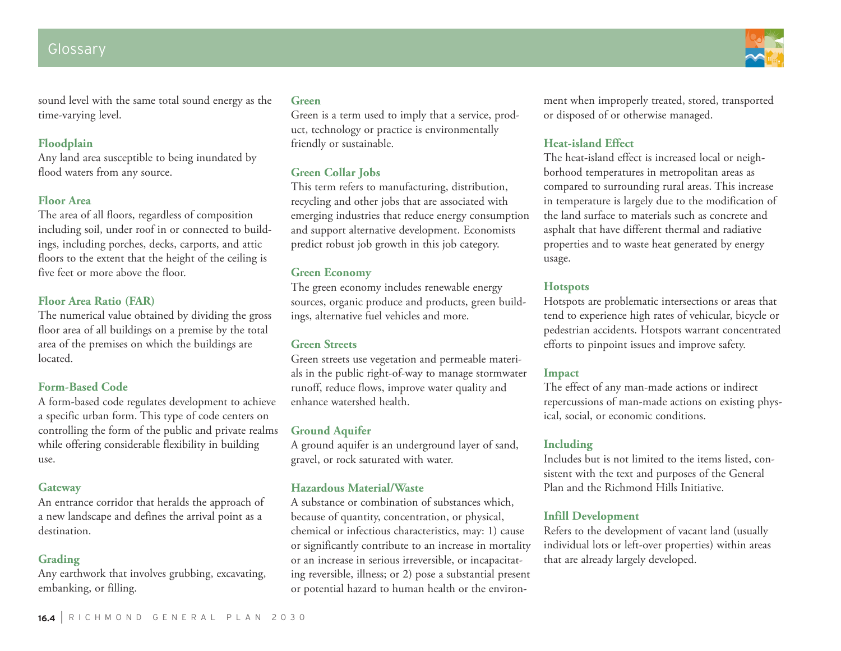## Glossary

sound level with the same total sound energy as the time-varying level.

### **Floodplain**

Any land area susceptible to being inundated by flood waters from any source.

## **Floor Area**

The area of all floors, regardless of composition including soil, under roof in or connected to buildings, including porches, decks, carports, and attic floors to the extent that the height of the ceiling is five feet or more above the floor.

## **Floor Area Ratio (FAR)**

The numerical value obtained by dividing the gross floor area of all buildings on a premise by the total area of the premises on which the buildings are located.

#### **Form-Based Code**

A form-based code regulates development to achieve a specific urban form. This type of code centers on controlling the form of the public and private realms while offering considerable flexibility in building use.

#### **Gateway**

An entrance corridor that heralds the approach of a new landscape and defines the arrival point as a destination.

#### **Grading**

Any earthwork that involves grubbing, excavating, embanking, or filling.

#### **Green**

Green is a term used to imply that a service, product, technology or practice is environmentally friendly or sustainable.

## **Green Collar Jobs**

This term refers to manufacturing, distribution, recycling and other jobs that are associated with emerging industries that reduce energy consumption and support alternative development. Economists predict robust job growth in this job category.

#### **Green Economy**

The green economy includes renewable energy sources, organic produce and products, green buildings, alternative fuel vehicles and more.

### **Green Streets**

Green streets use vegetation and permeable materials in the public right-of-way to manage stormwater runoff, reduce flows, improve water quality and enhance watershed health.

#### **Ground Aquifer**

A ground aquifer is an underground layer of sand, gravel, or rock saturated with water.

#### **Hazardous Material/Waste**

A substance or combination of substances which, because of quantity, concentration, or physical, chemical or infectious characteristics, may: 1) cause or significantly contribute to an increase in mortality or an increase in serious irreversible, or incapacitating reversible, illness; or 2) pose a substantial present or potential hazard to human health or the environment when improperly treated, stored, transported or disposed of or otherwise managed.

## **Heat-island Effect**

The heat-island effect is increased local or neighborhood temperatures in metropolitan areas as compared to surrounding rural areas. This increase in temperature is largely due to the modification of the land surface to materials such as concrete and asphalt that have different thermal and radiative properties and to waste heat generated by energy usage.

#### **Hotspots**

Hotspots are problematic intersections or areas that tend to experience high rates of vehicular, bicycle or pedestrian accidents. Hotspots warrant concentrated efforts to pinpoint issues and improve safety.

#### **Impact**

The effect of any man-made actions or indirect repercussions of man-made actions on existing physical, social, or economic conditions.

## **Including**

Includes but is not limited to the items listed, consistent with the text and purposes of the General Plan and the Richmond Hills Initiative.

## **Infill Development**

Refers to the development of vacant land (usually individual lots or left-over properties) within areas that are already largely developed.

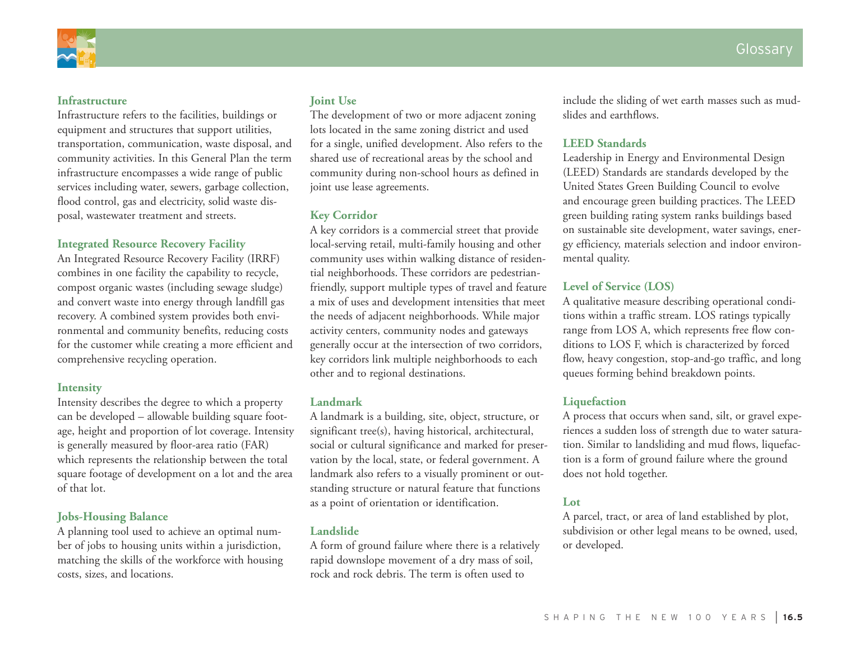

#### **Infrastructure**

Infrastructure refers to the facilities, buildings or equipment and structures that support utilities, transportation, communication, waste disposal, and community activities. In this General Plan the term infrastructure encompasses a wide range of public services including water, sewers, garbage collection, flood control, gas and electricity, solid waste disposal, wastewater treatment and streets.

#### **Integrated Resource Recovery Facility**

An Integrated Resource Recovery Facility (IRRF) combines in one facility the capability to recycle, compost organic wastes (including sewage sludge) and convert waste into energy through landfill gas recovery. A combined system provides both environmental and community benefits, reducing costs for the customer while creating a more efficient and comprehensive recycling operation.

#### **Intensity**

Intensity describes the degree to which a property can be developed – allowable building square footage, height and proportion of lot coverage. Intensity is generally measured by floor-area ratio (FAR) which represents the relationship between the total square footage of development on a lot and the area of that lot.

### **Jobs-Housing Balance**

A planning tool used to achieve an optimal number of jobs to housing units within a jurisdiction, matching the skills of the workforce with housing costs, sizes, and locations.

### **Joint Use**

The development of two or more adjacent zoning lots located in the same zoning district and used for a single, unified development. Also refers to the shared use of recreational areas by the school and community during non-school hours as defined in joint use lease agreements.

#### **Key Corridor**

A key corridors is a commercial street that provide local-serving retail, multi-family housing and other community uses within walking distance of residential neighborhoods. These corridors are pedestrianfriendly, support multiple types of travel and feature a mix of uses and development intensities that meet the needs of adjacent neighborhoods. While major activity centers, community nodes and gateways generally occur at the intersection of two corridors, key corridors link multiple neighborhoods to each other and to regional destinations.

#### **Landmark**

A landmark is a building, site, object, structure, or significant tree(s), having historical, architectural, social or cultural significance and marked for preservation by the local, state, or federal government. A landmark also refers to a visually prominent or outstanding structure or natural feature that functions as a point of orientation or identification.

#### **Landslide**

A form of ground failure where there is a relatively rapid downslope movement of a dry mass of soil, rock and rock debris. The term is often used to

include the sliding of wet earth masses such as mudslides and earthflows.

#### **LEED Standards**

Leadership in Energy and Environmental Design (LEED) Standards are standards developed by the United States Green Building Council to evolve and encourage green building practices. The LEED green building rating system ranks buildings based on sustainable site development, water savings, energy efficiency, materials selection and indoor environmental quality.

#### **Level of Service (LOS)**

A qualitative measure describing operational conditions within a traffic stream. LOS ratings typically range from LOS A, which represents free flow conditions to LOS F, which is characterized by forced flow, heavy congestion, stop-and-go traffic, and long queues forming behind breakdown points.

#### **Liquefaction**

A process that occurs when sand, silt, or gravel experiences a sudden loss of strength due to water saturation. Similar to landsliding and mud flows, liquefaction is a form of ground failure where the ground does not hold together.

#### **Lot**

A parcel, tract, or area of land established by plot, subdivision or other legal means to be owned, used, or developed.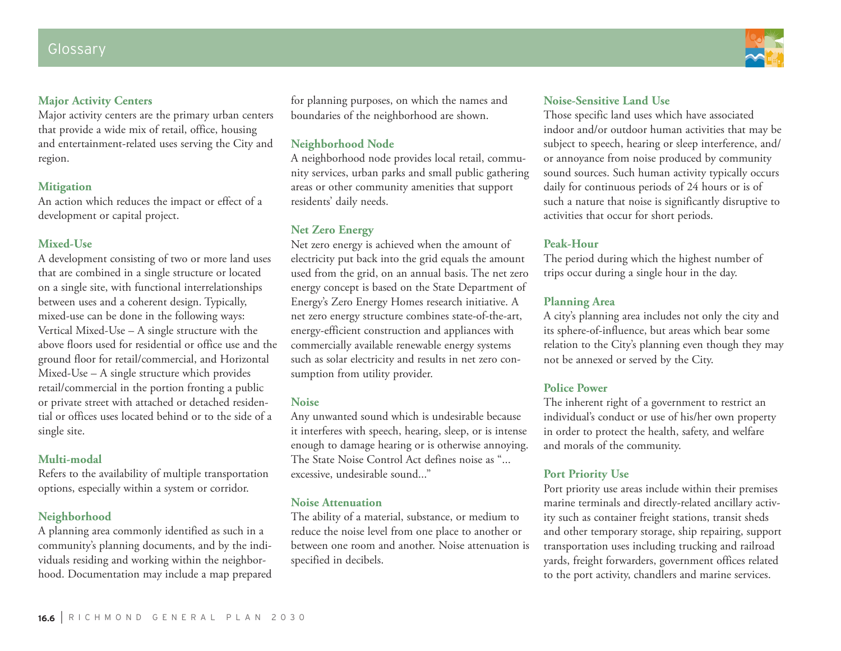### **Major Activity Centers**

Major activity centers are the primary urban centers that provide a wide mix of retail, office, housing and entertainment-related uses serving the City and region.

## **Mitigation**

An action which reduces the impact or effect of a development or capital project.

## **Mixed-Use**

A development consisting of two or more land uses that are combined in a single structure or located on a single site, with functional interrelationships between uses and a coherent design. Typically, mixed-use can be done in the following ways: Vertical Mixed-Use – A single structure with the above floors used for residential or office use and the ground floor for retail/commercial, and Horizontal Mixed-Use – A single structure which provides retail/commercial in the portion fronting a public or private street with attached or detached residential or offices uses located behind or to the side of a single site.

#### **Multi-modal**

Refers to the availability of multiple transportation options, especially within a system or corridor.

## **Neighborhood**

A planning area commonly identified as such in a community's planning documents, and by the individuals residing and working within the neighborhood. Documentation may include a map prepared for planning purposes, on which the names and boundaries of the neighborhood are shown.

## **Neighborhood Node**

A neighborhood node provides local retail, community services, urban parks and small public gathering areas or other community amenities that support residents' daily needs.

## **Net Zero Energy**

Net zero energy is achieved when the amount of electricity put back into the grid equals the amount used from the grid, on an annual basis. The net zero energy concept is based on the State Department of Energy's Zero Energy Homes research initiative. A net zero energy structure combines state-of-the-art, energy-efficient construction and appliances with commercially available renewable energy systems such as solar electricity and results in net zero consumption from utility provider.

#### **Noise**

Any unwanted sound which is undesirable because it interferes with speech, hearing, sleep, or is intense enough to damage hearing or is otherwise annoying. The State Noise Control Act defines noise as "... excessive, undesirable sound..."

#### **Noise Attenuation**

The ability of a material, substance, or medium to reduce the noise level from one place to another or between one room and another. Noise attenuation is specified in decibels.

## **Noise-Sensitive Land Use**

Those specific land uses which have associated indoor and/or outdoor human activities that may be subject to speech, hearing or sleep interference, and/ or annoyance from noise produced by community sound sources. Such human activity typically occurs daily for continuous periods of 24 hours or is of such a nature that noise is significantly disruptive to activities that occur for short periods.

## **Peak-Hour**

The period during which the highest number of trips occur during a single hour in the day.

## **Planning Area**

A city's planning area includes not only the city and its sphere-of-influence, but areas which bear some relation to the City's planning even though they may not be annexed or served by the City.

## **Police Power**

The inherent right of a government to restrict an individual's conduct or use of his/her own property in order to protect the health, safety, and welfare and morals of the community.

## **Port Priority Use**

Port priority use areas include within their premises marine terminals and directly-related ancillary activity such as container freight stations, transit sheds and other temporary storage, ship repairing, support transportation uses including trucking and railroad yards, freight forwarders, government offices related to the port activity, chandlers and marine services.

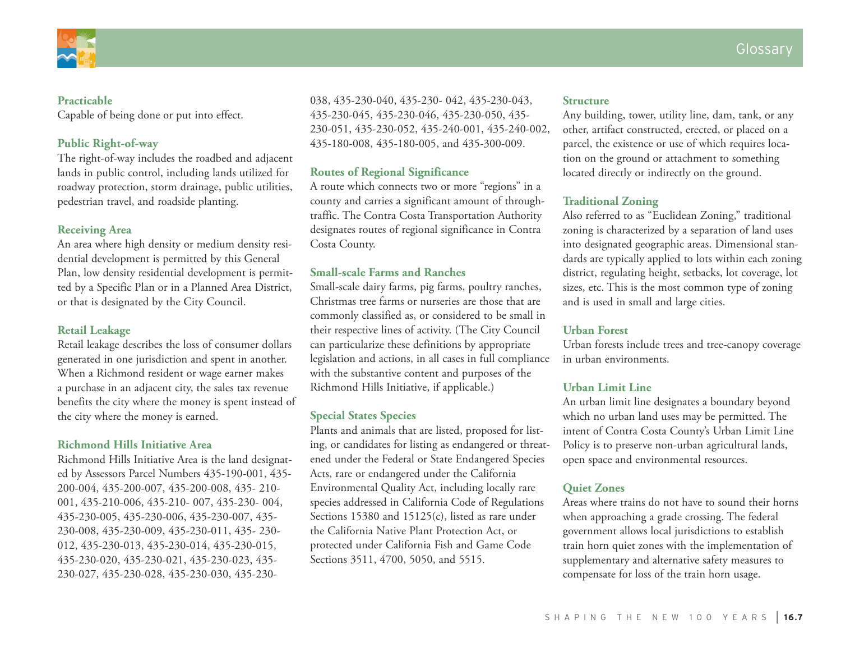

#### **Practicable**

Capable of being done or put into effect.

## **Public Right-of-way**

The right-of-way includes the roadbed and adjacent lands in public control, including lands utilized for roadway protection, storm drainage, public utilities, pedestrian travel, and roadside planting.

## **Receiving Area**

An area where high density or medium density residential development is permitted by this General Plan, low density residential development is permitted by a Specific Plan or in a Planned Area District, or that is designated by the City Council.

## **Retail Leakage**

Retail leakage describes the loss of consumer dollars generated in one jurisdiction and spent in another. When a Richmond resident or wage earner makes a purchase in an adjacent city, the sales tax revenue benefits the city where the money is spent instead of the city where the money is earned.

#### **Richmond Hills Initiative Area**

Richmond Hills Initiative Area is the land designated by Assessors Parcel Numbers 435-190-001, 435- 200-004, 435-200-007, 435-200-008, 435- 210- 001, 435-210-006, 435-210- 007, 435-230- 004, 435-230-005, 435-230-006, 435-230-007, 435- 230-008, 435-230-009, 435-230-011, 435- 230- 012, 435-230-013, 435-230-014, 435-230-015, 435-230-020, 435-230-021, 435-230-023, 435- 230-027, 435-230-028, 435-230-030, 435-230038, 435-230-040, 435-230- 042, 435-230-043, 435-230-045, 435-230-046, 435-230-050, 435- 230-051, 435-230-052, 435-240-001, 435-240-002, 435-180-008, 435-180-005, and 435-300-009.

## **Routes of Regional Significance**

A route which connects two or more "regions" in a county and carries a significant amount of throughtraffic. The Contra Costa Transportation Authority designates routes of regional significance in Contra Costa County.

#### **Small-scale Farms and Ranches**

Small-scale dairy farms, pig farms, poultry ranches, Christmas tree farms or nurseries are those that are commonly classified as, or considered to be small in their respective lines of activity. (The City Council can particularize these definitions by appropriate legislation and actions, in all cases in full compliance with the substantive content and purposes of the Richmond Hills Initiative, if applicable.)

#### **Special States Species**

Plants and animals that are listed, proposed for listing, or candidates for listing as endangered or threatened under the Federal or State Endangered Species Acts, rare or endangered under the California Environmental Quality Act, including locally rare species addressed in California Code of Regulations Sections 15380 and 15125(c), listed as rare under the California Native Plant Protection Act, or protected under California Fish and Game Code Sections 3511, 4700, 5050, and 5515.

#### **Structure**

Any building, tower, utility line, dam, tank, or any other, artifact constructed, erected, or placed on a parcel, the existence or use of which requires location on the ground or attachment to something located directly or indirectly on the ground.

## **Traditional Zoning**

Also referred to as "Euclidean Zoning," traditional zoning is characterized by a separation of land uses into designated geographic areas. Dimensional standards are typically applied to lots within each zoning district, regulating height, setbacks, lot coverage, lot sizes, etc. This is the most common type of zoning and is used in small and large cities.

#### **Urban Forest**

Urban forests include trees and tree-canopy coverage in urban environments.

#### **Urban Limit Line**

An urban limit line designates a boundary beyond which no urban land uses may be permitted. The intent of Contra Costa County's Urban Limit Line Policy is to preserve non-urban agricultural lands, open space and environmental resources.

## **Quiet Zones**

Areas where trains do not have to sound their horns when approaching a grade crossing. The federal government allows local jurisdictions to establish train horn quiet zones with the implementation of supplementary and alternative safety measures to compensate for loss of the train horn usage.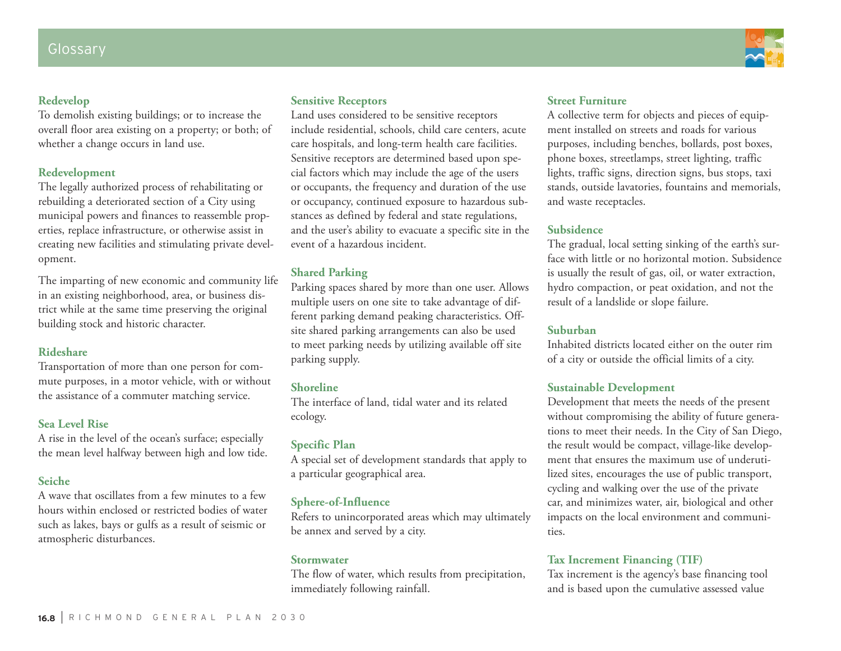## **Redevelop**

To demolish existing buildings; or to increase the overall floor area existing on a property; or both; of whether a change occurs in land use.

## **Redevelopment**

The legally authorized process of rehabilitating or rebuilding a deteriorated section of a City using municipal powers and finances to reassemble properties, replace infrastructure, or otherwise assist in creating new facilities and stimulating private development.

The imparting of new economic and community life in an existing neighborhood, area, or business district while at the same time preserving the original building stock and historic character.

#### **Rideshare**

Transportation of more than one person for commute purposes, in a motor vehicle, with or without the assistance of a commuter matching service.

## **Sea Level Rise**

A rise in the level of the ocean's surface; especially the mean level halfway between high and low tide.

## **Seiche**

A wave that oscillates from a few minutes to a few hours within enclosed or restricted bodies of water such as lakes, bays or gulfs as a result of seismic or atmospheric disturbances.

## **Sensitive Receptors**

Land uses considered to be sensitive receptors include residential, schools, child care centers, acute care hospitals, and long-term health care facilities. Sensitive receptors are determined based upon special factors which may include the age of the users or occupants, the frequency and duration of the use or occupancy, continued exposure to hazardous substances as defined by federal and state regulations, and the user's ability to evacuate a specific site in the event of a hazardous incident.

## **Shared Parking**

Parking spaces shared by more than one user. Allows multiple users on one site to take advantage of different parking demand peaking characteristics. Offsite shared parking arrangements can also be used to meet parking needs by utilizing available off site parking supply.

## **Shoreline**

The interface of land, tidal water and its related ecology.

## **Specific Plan**

A special set of development standards that apply to a particular geographical area.

## **Sphere-of-Influence**

Refers to unincorporated areas which may ultimately be annex and served by a city.

#### **Stormwater**

The flow of water, which results from precipitation, immediately following rainfall.

## **Street Furniture**

A collective term for objects and pieces of equipment installed on streets and roads for various purposes, including benches, bollards, post boxes, phone boxes, streetlamps, street lighting, traffic lights, traffic signs, direction signs, bus stops, taxi stands, outside lavatories, fountains and memorials, and waste receptacles.

## **Subsidence**

The gradual, local setting sinking of the earth's surface with little or no horizontal motion. Subsidence is usually the result of gas, oil, or water extraction, hydro compaction, or peat oxidation, and not the result of a landslide or slope failure.

## **Suburban**

Inhabited districts located either on the outer rim of a city or outside the official limits of a city.

## **Sustainable Development**

Development that meets the needs of the present without compromising the ability of future generations to meet their needs. In the City of San Diego, the result would be compact, village-like development that ensures the maximum use of underutilized sites, encourages the use of public transport, cycling and walking over the use of the private car, and minimizes water, air, biological and other impacts on the local environment and communities.

## **Tax Increment Financing (TIF)**

Tax increment is the agency's base financing tool and is based upon the cumulative assessed value